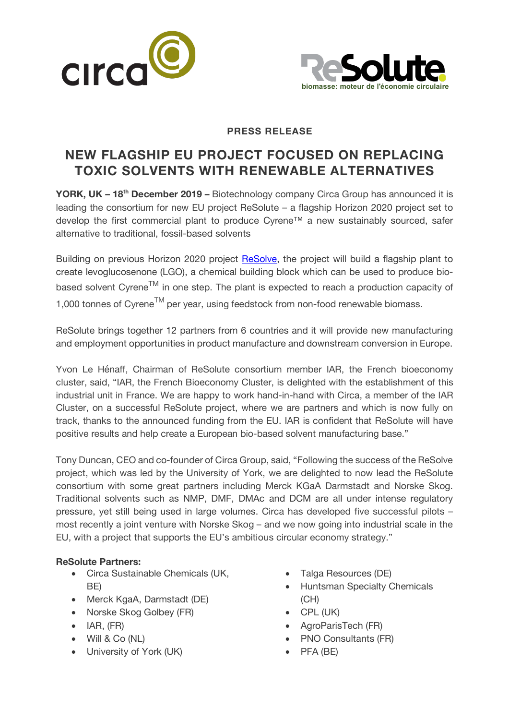



### **PRESS RELEASE**

# **NEW FLAGSHIP EU PROJECT FOCUSED ON REPLACING TOXIC SOLVENTS WITH RENEWABLE ALTERNATIVES**

**YORK, UK – 18th December 2019 –** Biotechnology company Circa Group has announced it is leading the consortium for new EU project ReSolute – a flagship Horizon 2020 project set to develop the first commercial plant to produce Cyrene™ a new sustainably sourced, safer alternative to traditional, fossil-based solvents

Building on previous Horizon 2020 project ReSolve, the project will build a flagship plant to create levoglucosenone (LGO), a chemical building block which can be used to produce biocreate levoglucosenone (LGO), a chemical building block which can be used to produce bio-<br>based solvent Cyrene<sup>TM</sup> in one step. The plant is expected to reach a production capacity of 1,000 tonnes of Cyrene<sup>TM</sup> per year, using feedstock from non-food renewable biomass.

ReSolute brings together 12 partners from 6 countries and it will provide new manufacturing and employment opportunities in product manufacture and downstream conversion in Europe.

Yvon Le Hénaff, Chairman of ReSolute consortium member IAR, the French bioeconomy cluster, said, "IAR, the French Bioeconomy Cluster, is delighted with the establishment of this industrial unit in France. We are happy to work hand-in-hand with Circa, a member of the IAR Cluster, on a successful ReSolute project, where we are partners and which is now fully on track, thanks to the announced funding from the EU. IAR is confident that ReSolute will have positive results and help create a European bio-based solvent manufacturing base."

Tony Duncan, CEO and co-founder of Circa Group, said, "Following the success of the ReSolve project, which was led by the University of York, we are delighted to now lead the ReSolute consortium with some great partners including Merck KGaA Darmstadt and Norske Skog. Traditional solvents such as NMP, DMF, DMAc and DCM are all under intense regulatory pressure, yet still being used in large volumes. Circa has developed five successful pilots – most recently a joint venture with Norske Skog – and we now going into industrial scale in the EU, with a project that supports the EU's ambitious circular economy strategy."

## **ReSolute Partners:**

- Circa Sustainable Chemicals (UK, BE)
- Merck KgaA, Darmstadt (DE)
- Norske Skog Golbey (FR)
- IAR, (FR)
- Will & Co (NL)
- University of York (UK)
- Talga Resources (DE)
- Huntsman Specialty Chemicals (CH)
- CPL (UK)
- AgroParisTech (FR)
- PNO Consultants (FR)
- PFA (BE)